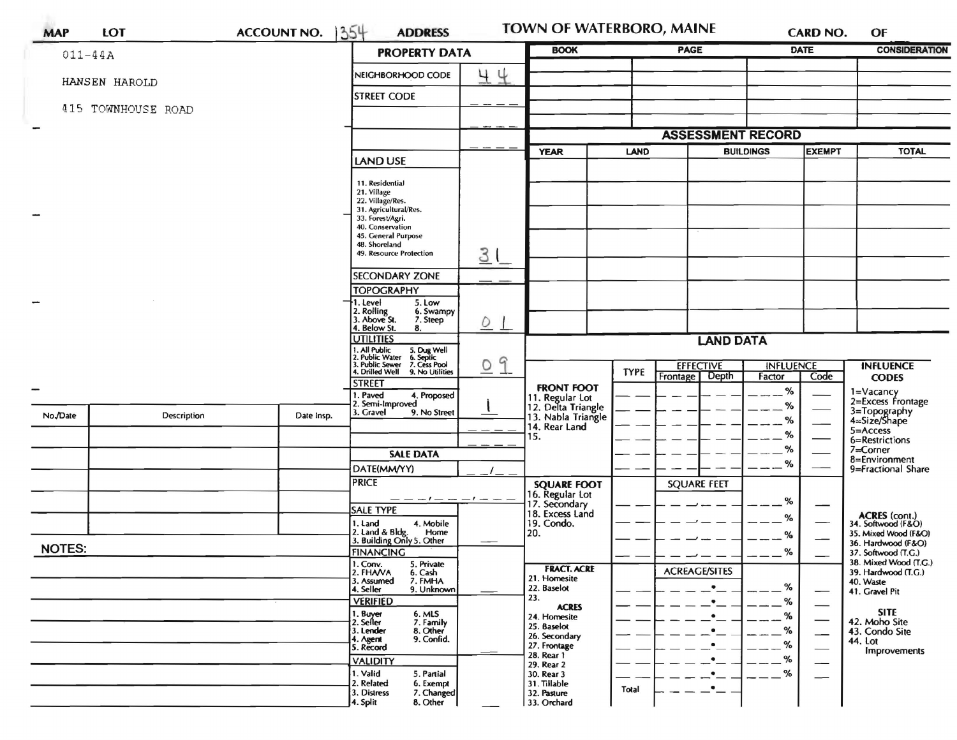| <b>MAP</b>    | <b>LOT</b>         | <b>ACCOUNT NO.</b> | 1354<br><b>ADDRESS</b>                                                                                                                        |             | TOWN OF WATERBORO, MAINE                                    |             |                                       |             | <b>CARD NO.</b>          | OF                                                          |
|---------------|--------------------|--------------------|-----------------------------------------------------------------------------------------------------------------------------------------------|-------------|-------------------------------------------------------------|-------------|---------------------------------------|-------------|--------------------------|-------------------------------------------------------------|
| $011 - 44A$   |                    |                    | <b>PROPERTY DATA</b>                                                                                                                          | <b>BOOK</b> |                                                             | <b>PAGE</b> |                                       | <b>DATE</b> | <b>CONSIDERATION</b>     |                                                             |
|               |                    |                    | 44<br>NEIGHBORHOOD CODE                                                                                                                       |             |                                                             |             |                                       |             |                          |                                                             |
|               | HANSEN HAROLD      |                    | <b>STREET CODE</b>                                                                                                                            |             |                                                             |             |                                       |             |                          |                                                             |
|               | 415 TOWNHOUSE ROAD |                    |                                                                                                                                               |             |                                                             |             |                                       |             |                          |                                                             |
|               |                    |                    |                                                                                                                                               |             | <b>ASSESSMENT RECORD</b>                                    |             |                                       |             |                          |                                                             |
|               |                    |                    |                                                                                                                                               |             | <b>YEAR</b>                                                 |             | <b>LAND</b><br><b>BUILDINGS</b>       |             | <b>EXEMPT</b>            | <b>TOTAL</b>                                                |
|               |                    |                    | <b>LAND USE</b>                                                                                                                               |             |                                                             |             |                                       |             |                          |                                                             |
|               |                    |                    | 11. Residential                                                                                                                               |             |                                                             |             |                                       |             |                          |                                                             |
|               |                    |                    | 21. Village<br>22. Village/Res.                                                                                                               |             |                                                             |             |                                       |             |                          |                                                             |
|               |                    |                    | 31. Agricultural/Res.<br>33. Forest/Agri.                                                                                                     |             |                                                             |             |                                       |             |                          |                                                             |
|               |                    |                    | 40. Conservation<br>45. General Purpose                                                                                                       |             |                                                             |             |                                       |             |                          |                                                             |
|               |                    |                    | 48. Shoreland<br>49. Resource Protection                                                                                                      | 3L          |                                                             |             |                                       |             |                          |                                                             |
|               |                    |                    | <b>SECONDARY ZONE</b>                                                                                                                         |             |                                                             |             |                                       |             |                          |                                                             |
|               |                    |                    | <b>TOPOGRAPHY</b>                                                                                                                             |             |                                                             |             |                                       |             |                          |                                                             |
|               |                    |                    | 5. Low<br>1. Level<br>6. Swampy                                                                                                               |             |                                                             |             |                                       |             |                          |                                                             |
|               |                    |                    | 2. Rolling<br>3. Above St.<br>7. Steep<br>4. Below St.<br>8.                                                                                  | $Q_1$       |                                                             |             |                                       |             |                          |                                                             |
|               |                    |                    | <b>UTILITIES</b><br>1. All Public 5. Dug Well<br>2. Public Water 6. Septic<br>3. Public Sewer 7. Cess Pool<br>4. Drilled Well 9. No Utilities |             | <b>LAND DATA</b>                                            |             |                                       |             |                          |                                                             |
|               |                    |                    |                                                                                                                                               | 09          |                                                             |             | <b>INFLUENCE</b>                      |             |                          | <b>INFLUENCE</b>                                            |
|               |                    |                    |                                                                                                                                               |             |                                                             | <b>TYPE</b> | <b>EFFECTIVE</b><br>Depth<br>Frontage | Factor      | Code                     | <b>CODES</b>                                                |
|               |                    |                    | <b>STREET</b><br>. Paved<br>4. Proposed                                                                                                       |             | <b>FRONT FOOT</b>                                           |             |                                       | %           |                          | 1=Vacancy<br>2=Excess Frontage                              |
| No./Date      | Description        | Date Insp.         | 2. Semi-Improved<br>3. Gravel<br>9. No Street                                                                                                 |             | 11. Regular Lot<br>12. Delta Triangle<br>13. Nabla Triangle |             |                                       | $\%$        |                          | 3=Topography<br>4=Size/Shape                                |
|               |                    |                    |                                                                                                                                               |             | 14. Rear Land                                               |             |                                       | %           |                          | 5=Access                                                    |
|               |                    |                    |                                                                                                                                               |             | 15.                                                         |             |                                       | %<br>$\%$   |                          | 6=Restrictions<br>$7 =$ Corner                              |
|               |                    |                    | <b>SALE DATA</b>                                                                                                                              |             |                                                             |             |                                       | $\%$        |                          | 8=Environment                                               |
|               |                    |                    | DATE(MM/YY)<br><b>PRICE</b>                                                                                                                   | $-1$ $-$    |                                                             |             | <b>SQUARE FEET</b>                    |             |                          | 9=Fractional Share                                          |
|               |                    |                    | $-1$ $-$                                                                                                                                      |             | <b>SQUARE FOOT</b><br>16. Regular Lot<br>17. Secondary      |             |                                       |             |                          |                                                             |
|               |                    |                    | <b>SALE TYPE</b>                                                                                                                              |             | 18. Excess Land                                             |             |                                       | %           |                          |                                                             |
|               |                    |                    | 1. Land<br>4. Mobile<br>Home                                                                                                                  |             | 19. Condo.<br>20.                                           |             |                                       | %           |                          | ACRES (cont.)<br>34. Softwood (F&O)<br>35. Mixed Wood (F&O) |
| <b>NOTES:</b> |                    |                    | 2. Land & Bldg. Home<br>3. Building Only 5. Other<br><b>FINANCING</b><br>5. Private<br>1. Conv.                                               |             |                                                             |             |                                       | %           |                          | 36. Hardwood (F&O)                                          |
|               |                    |                    |                                                                                                                                               |             |                                                             |             |                                       | %           |                          | 37. Softwood (T.G.)<br>38. Mixed Wood (T.G.)                |
|               |                    |                    | 2. FHAVA<br>6. Cash<br>3. Assumed<br>7. FMHA                                                                                                  |             | <b>FRACT. ACRE</b><br>21. Homesite                          |             | <b>ACREAGE/SITES</b>                  |             |                          | 39. Hardwood (T.G.)<br>40. Waste                            |
|               |                    |                    | 4. Seller<br>9. Unknown                                                                                                                       |             | 22. Baselot<br>23.                                          |             |                                       | %           |                          | 41. Gravel Pit                                              |
|               |                    |                    | <b>VERIFIED</b><br>6. MLS                                                                                                                     |             | <b>ACRES</b><br>24. Homesite                                |             |                                       | %<br>%      |                          | <b>SITE</b>                                                 |
|               |                    |                    | 1. Buyer<br>2. Seller<br>7. Family<br>8. Other<br>3. Lender                                                                                   |             | 25. Baselot                                                 |             |                                       | %           | —                        | 42. Moho Site<br>43. Condo Site                             |
|               |                    |                    | 9. Confid.<br>4. Agent<br>5. Record                                                                                                           |             | 26. Secondary<br>27. Frontage                               |             |                                       | $\%$        | --<br>$\qquad \qquad$    | 44. Lot<br><b>Improvements</b>                              |
|               |                    |                    | <b>VALIDITY</b>                                                                                                                               |             | 28. Rear 1<br>29. Rear 2                                    |             |                                       | %           | —                        |                                                             |
|               |                    |                    | 1. Valid<br>5. Partial<br>2. Related<br>6. Exempt                                                                                             |             | 30. Rear 3<br>31. Tillable                                  |             | $\bullet$                             | %           | $\overline{\phantom{0}}$ |                                                             |
|               |                    |                    | 3. Distress<br>7. Changed                                                                                                                     |             | 32. Pasture                                                 | Total       | $\bullet$                             |             |                          |                                                             |
|               |                    |                    | 4. Split<br>8. Other                                                                                                                          |             | 33. Orchard                                                 |             |                                       |             |                          |                                                             |